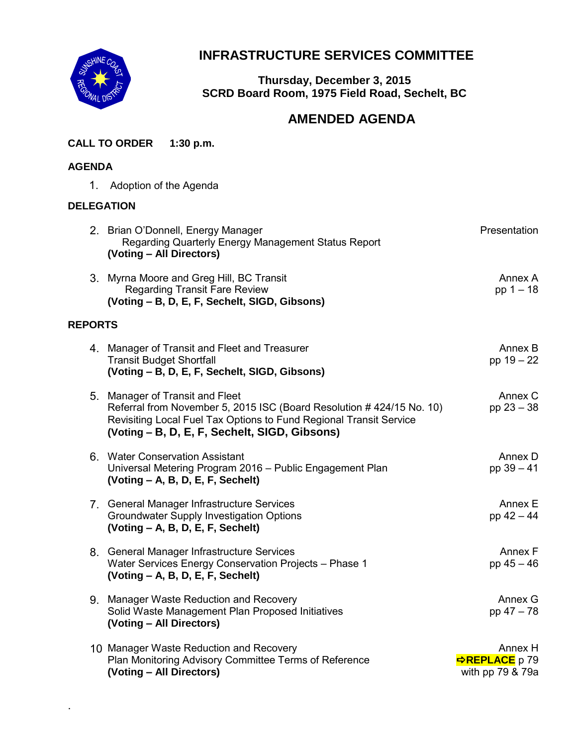

# **INFRASTRUCTURE SERVICES COMMITTEE**

**Thursday, December 3, 2015 SCRD Board Room, 1975 Field Road, Sechelt, BC**

## **AMENDED AGENDA**

**CALL TO ORDER 1:30 p.m.**

## **AGENDA**

.

1. Adoption of the Agenda

## **DELEGATION**

|                | 2. Brian O'Donnell, Energy Manager<br>Regarding Quarterly Energy Management Status Report<br>(Voting – All Directors)                                                                                                          | Presentation                                              |
|----------------|--------------------------------------------------------------------------------------------------------------------------------------------------------------------------------------------------------------------------------|-----------------------------------------------------------|
|                | 3. Myrna Moore and Greg Hill, BC Transit<br><b>Regarding Transit Fare Review</b><br>(Voting - B, D, E, F, Sechelt, SIGD, Gibsons)                                                                                              | Annex A<br>$pp 1 - 18$                                    |
| <b>REPORTS</b> |                                                                                                                                                                                                                                |                                                           |
|                | 4. Manager of Transit and Fleet and Treasurer<br><b>Transit Budget Shortfall</b><br>(Voting - B, D, E, F, Sechelt, SIGD, Gibsons)                                                                                              | Annex B<br>pp 19 - 22                                     |
|                | 5. Manager of Transit and Fleet<br>Referral from November 5, 2015 ISC (Board Resolution #424/15 No. 10)<br>Revisiting Local Fuel Tax Options to Fund Regional Transit Service<br>(Voting - B, D, E, F, Sechelt, SIGD, Gibsons) | Annex C<br>pp $23 - 38$                                   |
|                | 6. Water Conservation Assistant<br>Universal Metering Program 2016 - Public Engagement Plan<br>(Voting – A, B, D, E, F, Sechelt)                                                                                               | Annex D<br>pp $39 - 41$                                   |
|                | 7. General Manager Infrastructure Services<br><b>Groundwater Supply Investigation Options</b><br>$(Voting - A, B, D, E, F, Sechelt)$                                                                                           | Annex E<br>pp 42 - 44                                     |
|                | 8. General Manager Infrastructure Services<br>Water Services Energy Conservation Projects - Phase 1<br>(Voting - A, B, D, E, F, Sechelt)                                                                                       | Annex F<br>$pp 45 - 46$                                   |
|                | 9. Manager Waste Reduction and Recovery<br>Solid Waste Management Plan Proposed Initiatives<br>(Voting - All Directors)                                                                                                        | Annex G<br>pp 47 - 78                                     |
|                | 10 Manager Waste Reduction and Recovery<br>Plan Monitoring Advisory Committee Terms of Reference<br>(Voting - All Directors)                                                                                                   | Annex H<br><mark>⇒REPLACE</mark> p 79<br>with pp 79 & 79a |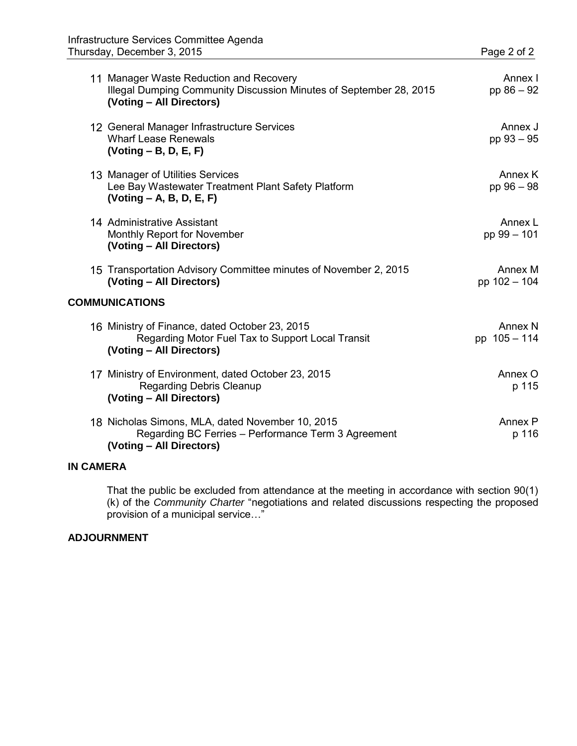|                       | 11 Manager Waste Reduction and Recovery<br>Illegal Dumping Community Discussion Minutes of September 28, 2015<br>(Voting – All Directors) | Annex I<br>pp $86 - 92$   |  |
|-----------------------|-------------------------------------------------------------------------------------------------------------------------------------------|---------------------------|--|
|                       | 12 General Manager Infrastructure Services<br><b>Wharf Lease Renewals</b><br>$(Voting - B, D, E, F)$                                      | Annex J<br>pp 93 - 95     |  |
|                       | 13 Manager of Utilities Services<br>Lee Bay Wastewater Treatment Plant Safety Platform<br>$( Voting - A, B, D, E, F)$                     | Annex K<br>pp 96 - 98     |  |
|                       | 14 Administrative Assistant<br>Monthly Report for November<br>(Voting - All Directors)                                                    | Annex L<br>pp 99 - 101    |  |
|                       | 15 Transportation Advisory Committee minutes of November 2, 2015<br>(Voting - All Directors)                                              | Annex M<br>pp 102 - 104   |  |
| <b>COMMUNICATIONS</b> |                                                                                                                                           |                           |  |
|                       | 16 Ministry of Finance, dated October 23, 2015<br>Regarding Motor Fuel Tax to Support Local Transit<br>(Voting - All Directors)           | Annex N<br>pp $105 - 114$ |  |
|                       | 17 Ministry of Environment, dated October 23, 2015<br>Regarding Debris Cleanup<br>(Voting - All Directors)                                | Annex O<br>p 115          |  |
|                       | 18 Nicholas Simons, MLA, dated November 10, 2015<br>Regarding BC Ferries - Performance Term 3 Agreement<br>(Voting - All Directors)       | Annex P<br>p 116          |  |

## **IN CAMERA**

That the public be excluded from attendance at the meeting in accordance with section 90(1) (k) of the *Community Charter* "negotiations and related discussions respecting the proposed provision of a municipal service…"

#### **ADJOURNMENT**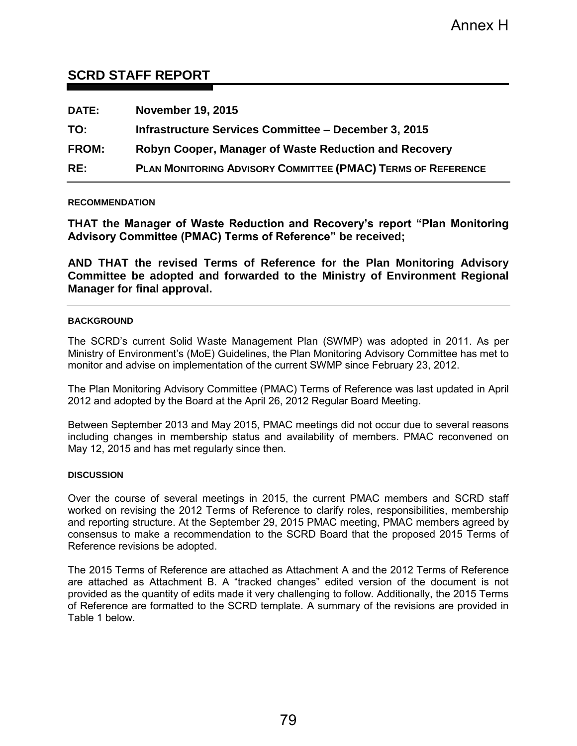## **SCRD STAFF REPORT**

| <b>DATE:</b> | <b>November 19, 2015</b>                                            |
|--------------|---------------------------------------------------------------------|
| TO:          | Infrastructure Services Committee – December 3, 2015                |
| <b>FROM:</b> | Robyn Cooper, Manager of Waste Reduction and Recovery               |
| RE:          | <b>PLAN MONITORING ADVISORY COMMITTEE (PMAC) TERMS OF REFERENCE</b> |

#### **RECOMMENDATION**

**THAT the Manager of Waste Reduction and Recovery's report "Plan Monitoring Advisory Committee (PMAC) Terms of Reference" be received;** 

**AND THAT the revised Terms of Reference for the Plan Monitoring Advisory Committee be adopted and forwarded to the Ministry of Environment Regional Manager for final approval.** 

#### **BACKGROUND**

The SCRD's current Solid Waste Management Plan (SWMP) was adopted in 2011. As per Ministry of Environment's (MoE) Guidelines, the Plan Monitoring Advisory Committee has met to monitor and advise on implementation of the current SWMP since February 23, 2012.

The Plan Monitoring Advisory Committee (PMAC) Terms of Reference was last updated in April 2012 and adopted by the Board at the April 26, 2012 Regular Board Meeting.

Between September 2013 and May 2015, PMAC meetings did not occur due to several reasons including changes in membership status and availability of members. PMAC reconvened on May 12, 2015 and has met regularly since then.

#### **DISCUSSION**

Over the course of several meetings in 2015, the current PMAC members and SCRD staff worked on revising the 2012 Terms of Reference to clarify roles, responsibilities, membership and reporting structure. At the September 29, 2015 PMAC meeting, PMAC members agreed by consensus to make a recommendation to the SCRD Board that the proposed 2015 Terms of Reference revisions be adopted.

The 2015 Terms of Reference are attached as Attachment A and the 2012 Terms of Reference are attached as Attachment B. A "tracked changes" edited version of the document is not provided as the quantity of edits made it very challenging to follow. Additionally, the 2015 Terms of Reference are formatted to the SCRD template. A summary of the revisions are provided in Table 1 below.